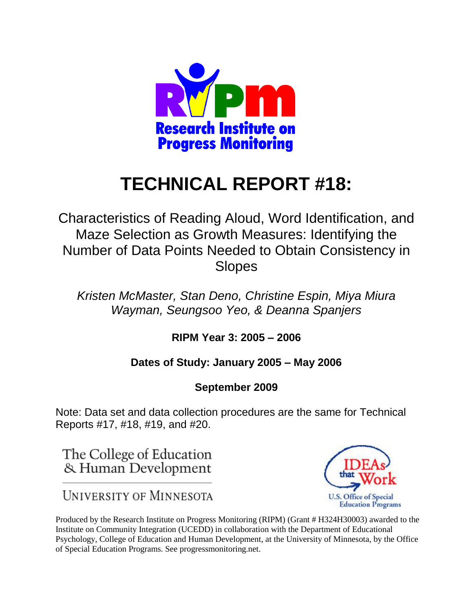

# **TECHNICAL REPORT #18:**

Characteristics of Reading Aloud, Word Identification, and Maze Selection as Growth Measures: Identifying the Number of Data Points Needed to Obtain Consistency in Slopes

*Kristen McMaster, Stan Deno, Christine Espin, Miya Miura Wayman, Seungsoo Yeo, & Deanna Spanjers*

**RIPM Year 3: 2005 – 2006** 

# **Dates of Study: January 2005 – May 2006**

## **September 2009**

Note: Data set and data collection procedures are the same for Technical Reports #17, #18, #19, and #20.

The College of Education & Human Development

**UNIVERSITY OF MINNESOTA** 



Produced by the Research Institute on Progress Monitoring (RIPM) (Grant # H324H30003) awarded to the Institute on Community Integration (UCEDD) in collaboration with the Department of Educational Psychology, College of Education and Human Development, at the University of Minnesota, by the Office of Special Education Programs. See progressmonitoring.net.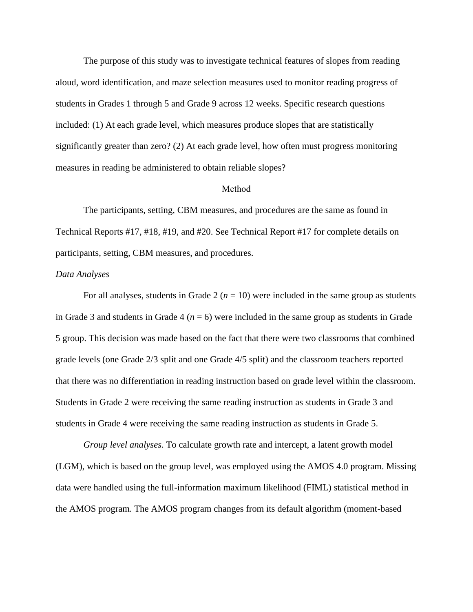The purpose of this study was to investigate technical features of slopes from reading aloud, word identification, and maze selection measures used to monitor reading progress of students in Grades 1 through 5 and Grade 9 across 12 weeks. Specific research questions included: (1) At each grade level, which measures produce slopes that are statistically significantly greater than zero? (2) At each grade level, how often must progress monitoring measures in reading be administered to obtain reliable slopes?

#### Method

The participants, setting, CBM measures, and procedures are the same as found in Technical Reports #17, #18, #19, and #20. See Technical Report #17 for complete details on participants, setting, CBM measures, and procedures.

#### *Data Analyses*

For all analyses, students in Grade  $2 (n = 10)$  were included in the same group as students in Grade 3 and students in Grade 4 ( $n = 6$ ) were included in the same group as students in Grade 5 group. This decision was made based on the fact that there were two classrooms that combined grade levels (one Grade 2/3 split and one Grade 4/5 split) and the classroom teachers reported that there was no differentiation in reading instruction based on grade level within the classroom. Students in Grade 2 were receiving the same reading instruction as students in Grade 3 and students in Grade 4 were receiving the same reading instruction as students in Grade 5.

*Group level analyses*. To calculate growth rate and intercept, a latent growth model (LGM), which is based on the group level, was employed using the AMOS 4.0 program. Missing data were handled using the full-information maximum likelihood (FIML) statistical method in the AMOS program. The AMOS program changes from its default algorithm (moment-based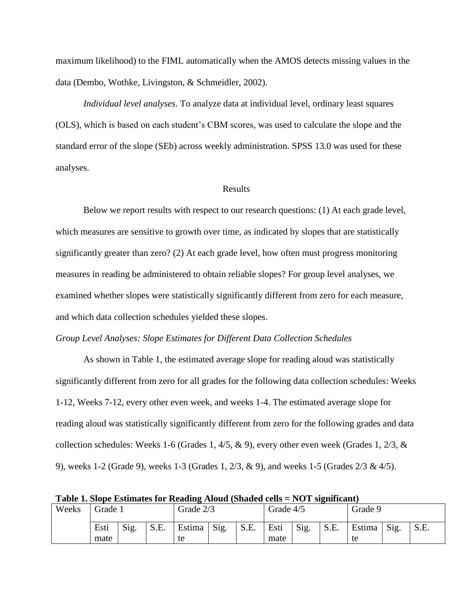maximum likelihood) to the FIML automatically when the AMOS detects missing values in the data (Dembo, Wothke, Livingston, & Schmeidler, 2002).

*Individual level analyses*. To analyze data at individual level, ordinary least squares (OLS), which is based on each student's CBM scores, was used to calculate the slope and the standard error of the slope (SEb) across weekly administration. SPSS 13.0 was used for these analyses.

#### Results

Below we report results with respect to our research questions: (1) At each grade level, which measures are sensitive to growth over time, as indicated by slopes that are statistically significantly greater than zero? (2) At each grade level, how often must progress monitoring measures in reading be administered to obtain reliable slopes? For group level analyses, we examined whether slopes were statistically significantly different from zero for each measure, and which data collection schedules yielded these slopes.

#### *Group Level Analyses: Slope Estimates for Different Data Collection Schedules*

As shown in Table 1, the estimated average slope for reading aloud was statistically significantly different from zero for all grades for the following data collection schedules: Weeks 1-12, Weeks 7-12, every other even week, and weeks 1-4. The estimated average slope for reading aloud was statistically significantly different from zero for the following grades and data collection schedules: Weeks 1-6 (Grades 1, 4/5, & 9), every other even week (Grades 1, 2/3, & 9), weeks 1-2 (Grade 9), weeks 1-3 (Grades 1, 2/3, & 9), and weeks 1-5 (Grades 2/3 & 4/5).

| Weeks | Grade 1      |      |      | Grade 2/3    |      |      | Grade 4/5    |      |      | Grade 9      |      |      |
|-------|--------------|------|------|--------------|------|------|--------------|------|------|--------------|------|------|
|       | Esti<br>mate | Sig. | S.E. | Estima<br>te | Sig. | S.E. | Esti<br>mate | Sig. | S.E. | Estima<br>te | Sig. | S.E. |
|       |              |      |      |              |      |      |              |      |      |              |      |      |

**Table 1. Slope Estimates for Reading Aloud (Shaded cells = NOT significant)**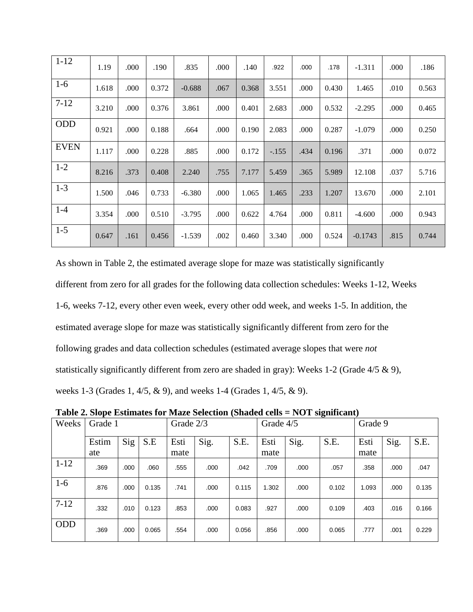| $1 - 12$    | 1.19  | .000 | .190  | .835     | .000 | .140  | .922    | .000 | .178  | $-1.311$  | .000 | .186  |
|-------------|-------|------|-------|----------|------|-------|---------|------|-------|-----------|------|-------|
| $1-6$       | 1.618 | .000 | 0.372 | $-0.688$ | .067 | 0.368 | 3.551   | .000 | 0.430 | 1.465     | .010 | 0.563 |
| $7-12$      | 3.210 | .000 | 0.376 | 3.861    | .000 | 0.401 | 2.683   | .000 | 0.532 | $-2.295$  | .000 | 0.465 |
| <b>ODD</b>  | 0.921 | .000 | 0.188 | .664     | .000 | 0.190 | 2.083   | .000 | 0.287 | $-1.079$  | .000 | 0.250 |
| <b>EVEN</b> | 1.117 | .000 | 0.228 | .885     | .000 | 0.172 | $-.155$ | .434 | 0.196 | .371      | .000 | 0.072 |
| $1 - 2$     | 8.216 | .373 | 0.408 | 2.240    | .755 | 7.177 | 5.459   | .365 | 5.989 | 12.108    | .037 | 5.716 |
| $1-3$       | 1.500 | .046 | 0.733 | $-6.380$ | .000 | 1.065 | 1.465   | .233 | 1.207 | 13.670    | .000 | 2.101 |
| $1 - 4$     | 3.354 | .000 | 0.510 | $-3.795$ | .000 | 0.622 | 4.764   | .000 | 0.811 | $-4.600$  | .000 | 0.943 |
| $1-5$       | 0.647 | .161 | 0.456 | $-1.539$ | .002 | 0.460 | 3.340   | .000 | 0.524 | $-0.1743$ | .815 | 0.744 |

As shown in Table 2, the estimated average slope for maze was statistically significantly different from zero for all grades for the following data collection schedules: Weeks 1-12, Weeks 1-6, weeks 7-12, every other even week, every other odd week, and weeks 1-5. In addition, the estimated average slope for maze was statistically significantly different from zero for the following grades and data collection schedules (estimated average slopes that were *not*  statistically significantly different from zero are shaded in gray): Weeks 1-2 (Grade 4/5 & 9), weeks 1-3 (Grades 1, 4/5, & 9), and weeks 1-4 (Grades 1, 4/5, & 9).

| Weeks      | Grade 1 |      |       | Grade 2/3 |      |       | Grade 4/5 |      |       | Grade 9 |      |       |
|------------|---------|------|-------|-----------|------|-------|-----------|------|-------|---------|------|-------|
|            | Estim   | Sig  | S.E   | Esti      | Sig. | S.E.  | Esti      | Sig. | S.E.  | Esti    | Sig. | S.E.  |
|            | ate     |      |       | mate      |      |       | mate      |      |       | mate    |      |       |
| $1-12$     | .369    | .000 | .060  | .555      | .000 | .042  | .709      | .000 | .057  | .358    | .000 | .047  |
| $1-6$      | .876    | .000 | 0.135 | .741      | .000 | 0.115 | 1.302     | .000 | 0.102 | 1.093   | .000 | 0.135 |
| $7 - 12$   | .332    | .010 | 0.123 | .853      | .000 | 0.083 | .927      | .000 | 0.109 | .403    | .016 | 0.166 |
| <b>ODD</b> | .369    | .000 | 0.065 | .554      | .000 | 0.056 | .856      | .000 | 0.065 | .777    | .001 | 0.229 |

**Table 2. Slope Estimates for Maze Selection (Shaded cells = NOT significant)**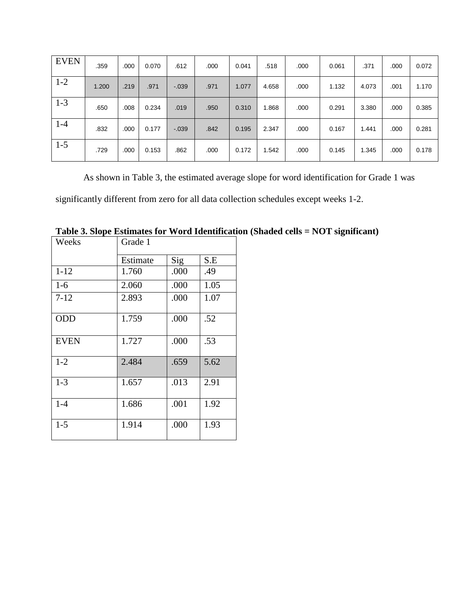| <b>EVEN</b> | .359  | .000 | 0.070 | .612    | .000 | 0.041 | .518  | .000 | 0.061 | .371  | .000 | 0.072 |
|-------------|-------|------|-------|---------|------|-------|-------|------|-------|-------|------|-------|
| $1 - 2$     | 1.200 | .219 | .971  | $-0.39$ | .971 | 1.077 | 4.658 | .000 | 1.132 | 4.073 | .001 | 1.170 |
| $1 - 3$     | .650  | .008 | 0.234 | .019    | .950 | 0.310 | 1.868 | .000 | 0.291 | 3.380 | .000 | 0.385 |
| $1-4$       | .832  | .000 | 0.177 | $-.039$ | .842 | 0.195 | 2.347 | .000 | 0.167 | 1.441 | .000 | 0.281 |
| $1 - 5$     | .729  | .000 | 0.153 | .862    | .000 | 0.172 | 1.542 | .000 | 0.145 | 1.345 | .000 | 0.178 |

As shown in Table 3, the estimated average slope for word identification for Grade 1 was

significantly different from zero for all data collection schedules except weeks 1-2.

| Weeks       | Grade 1  |      |      |
|-------------|----------|------|------|
|             | Estimate | Sig  | S.E  |
| $1 - 12$    | 1.760    | .000 | .49  |
| $1-6$       | 2.060    | .000 | 1.05 |
| $7 - 12$    | 2.893    | .000 | 1.07 |
| <b>ODD</b>  | 1.759    | .000 | .52  |
| <b>EVEN</b> | 1.727    | .000 | .53  |
| $1 - 2$     | 2.484    | .659 | 5.62 |
| $1 - 3$     | 1.657    | .013 | 2.91 |
| $1 - 4$     | 1.686    | .001 | 1.92 |
| $1 - 5$     | 1.914    | .000 | 1.93 |

**Table 3. Slope Estimates for Word Identification (Shaded cells = NOT significant)**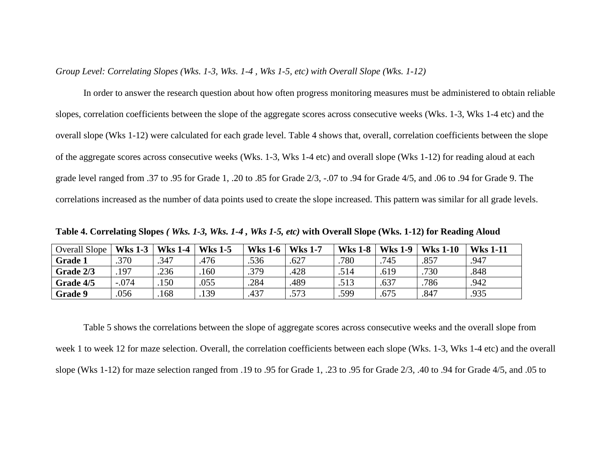*Group Level: Correlating Slopes (Wks. 1-3, Wks. 1-4 , Wks 1-5, etc) with Overall Slope (Wks. 1-12)*

In order to answer the research question about how often progress monitoring measures must be administered to obtain reliable slopes, correlation coefficients between the slope of the aggregate scores across consecutive weeks (Wks. 1-3, Wks 1-4 etc) and the overall slope (Wks 1-12) were calculated for each grade level. Table 4 shows that, overall, correlation coefficients between the slope of the aggregate scores across consecutive weeks (Wks. 1-3, Wks 1-4 etc) and overall slope (Wks 1-12) for reading aloud at each grade level ranged from .37 to .95 for Grade 1, .20 to .85 for Grade 2/3, -.07 to .94 for Grade 4/5, and .06 to .94 for Grade 9. The correlations increased as the number of data points used to create the slope increased. This pattern was similar for all grade levels.

| Overall Slope  | <b>Wks 1-3</b> | <b>Wks 1-4</b> | <b>Wks 1-5</b> | <b>Wks 1-6</b> | <b>Wks 1-7</b> | <b>Wks 1-8</b> | <b>Wks 1-9</b> | <b>Wks 1-10</b> | <b>Wks 1-11</b> |
|----------------|----------------|----------------|----------------|----------------|----------------|----------------|----------------|-----------------|-----------------|
| <b>Grade 1</b> | .370           | .347           | .476           | .536           | .627           | .780           | .745           | $.85^{-}$       | .947            |
| Grade 2/3      | .197           | .236           | .160           | .379           | .428           | .514           | .619           | .730            | .848            |
| Grade 4/5      | $-.074$        | .150           | .055           | .284           | .489           | .513           | .637           | .786            | .942            |
| <b>Grade 9</b> | .056           | .168           | .139           | .437           | .573           | .599           | .675           | .847            | .935            |

**Table 4. Correlating Slopes** *( Wks. 1-3, Wks. 1-4 , Wks 1-5, etc)* **with Overall Slope (Wks. 1-12) for Reading Aloud**

Table 5 shows the correlations between the slope of aggregate scores across consecutive weeks and the overall slope from week 1 to week 12 for maze selection. Overall, the correlation coefficients between each slope (Wks. 1-3, Wks 1-4 etc) and the overall slope (Wks 1-12) for maze selection ranged from .19 to .95 for Grade 1, .23 to .95 for Grade 2/3, .40 to .94 for Grade 4/5, and .05 to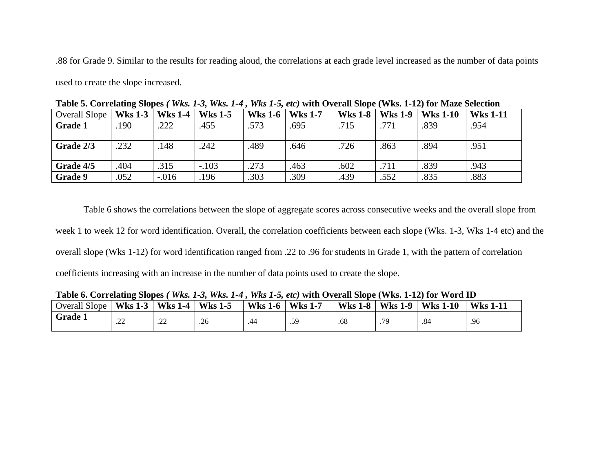.88 for Grade 9. Similar to the results for reading aloud, the correlations at each grade level increased as the number of data points

used to create the slope increased.

| Overall Slope  | <b>Wks 1-3</b> | <b>Wks 1-4</b> | <b>Wks 1-5</b> | <b>Wks 1-6</b> | <b>Wks 1-7</b> | <b>Wks 1-8</b> | <b>Wks 1-9</b> | <b>Wks 1-10</b> | <b>Wks 1-11</b> |
|----------------|----------------|----------------|----------------|----------------|----------------|----------------|----------------|-----------------|-----------------|
| Grade 1        | 190            | .222           | .455           | .573           | .695           | .715           | .771           | .839            | .954            |
|                |                |                |                |                |                |                |                |                 |                 |
| Grade 2/3      | .232           | .148           | .242           | .489           | .646           | .726           | .863           | .894            | .951            |
|                |                |                |                |                |                |                |                |                 |                 |
| Grade 4/5      | .404           | .315           | $-.103$        | .273           | .463           | .602           | .711           | .839            | .943            |
| <b>Grade 9</b> | .052           | $-.016$        | .196           | .303           | .309           | .439           | .552           | .835            | .883            |

**Table 5. Correlating Slopes** *( Wks. 1-3, Wks. 1-4 , Wks 1-5, etc)* **with Overall Slope (Wks. 1-12) for Maze Selection**

Table 6 shows the correlations between the slope of aggregate scores across consecutive weeks and the overall slope from week 1 to week 12 for word identification. Overall, the correlation coefficients between each slope (Wks. 1-3, Wks 1-4 etc) and the overall slope (Wks 1-12) for word identification ranged from .22 to .96 for students in Grade 1, with the pattern of correlation coefficients increasing with an increase in the number of data points used to create the slope.

| AWNAU VI COLLUMBIAN MAUNUM I |                |                |                |                |                |                |                |                 |                 |  |
|------------------------------|----------------|----------------|----------------|----------------|----------------|----------------|----------------|-----------------|-----------------|--|
| Overall Slope                | <b>Wks 1-3</b> | <b>Wks 1-4</b> | <b>Wks 1-5</b> | <b>Wks 1-6</b> | <b>Wks 1-7</b> | <b>Wks 1-8</b> | <b>Wks 1-9</b> | <b>Wks 1-10</b> | <b>Wks 1-11</b> |  |
| <b>Grade 1</b>               | $\cap$<br>ىمىد | $\cap$<br>ىشتى | .26            | .44            | .59            | .68            | 70             | .84             | .96             |  |

**Table 6. Correlating Slopes** *( Wks. 1-3, Wks. 1-4 , Wks 1-5, etc)* **with Overall Slope (Wks. 1-12) for Word ID**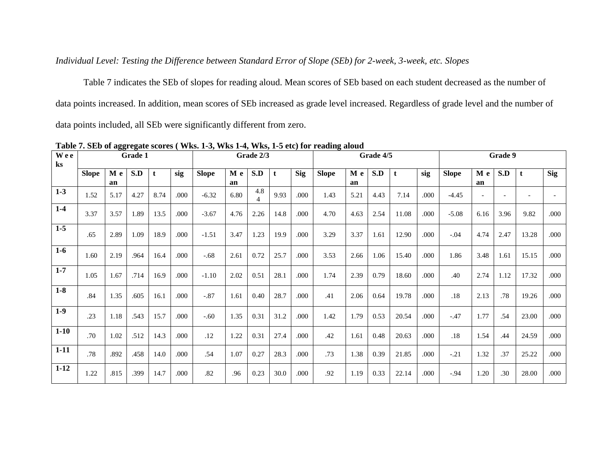### *Individual Level: Testing the Difference between Standard Error of Slope (SEb) for 2-week, 3-week, etc. Slopes*

Table 7 indicates the SEb of slopes for reading aloud. Mean scores of SEb based on each student decreased as the number of data points increased. In addition, mean scores of SEb increased as grade level increased. Regardless of grade level and the number of data points included, all SEb were significantly different from zero.

| Wee<br>$\mathbf{k}$ s |              |           | Grade 1 |      |      |              |           | Grade 2/3 |      |            |              |           | Grade 4/5 |       |      |              |           | Grade 9 |       |            |
|-----------------------|--------------|-----------|---------|------|------|--------------|-----------|-----------|------|------------|--------------|-----------|-----------|-------|------|--------------|-----------|---------|-------|------------|
|                       | <b>Slope</b> | M e<br>an | S.D     | t    | sig  | <b>Slope</b> | M e<br>an | S.D       | t    | <b>Sig</b> | <b>Slope</b> | M e<br>an | S.D       | t     | sig  | <b>Slope</b> | M e<br>an | S.D     | t     | <b>Sig</b> |
| $1-3$                 | 1.52         | 5.17      | 4.27    | 8.74 | .000 | $-6.32$      | 6.80      | 4.8<br>4  | 9.93 | .000       | 1.43         | 5.21      | 4.43      | 7.14  | .000 | $-4.45$      |           |         |       |            |
| $1-4$                 | 3.37         | 3.57      | 1.89    | 13.5 | .000 | $-3.67$      | 4.76      | 2.26      | 14.8 | .000       | 4.70         | 4.63      | 2.54      | 11.08 | .000 | $-5.08$      | 6.16      | 3.96    | 9.82  | .000       |
| $1-5$                 | .65          | 2.89      | 1.09    | 18.9 | .000 | $-1.51$      | 3.47      | 1.23      | 19.9 | .000       | 3.29         | 3.37      | 1.61      | 12.90 | .000 | $-.04$       | 4.74      | 2.47    | 13.28 | .000       |
| $1-6$                 | 1.60         | 2.19      | .964    | 16.4 | .000 | $-.68$       | 2.61      | 0.72      | 25.7 | .000       | 3.53         | 2.66      | 1.06      | 15.40 | .000 | 1.86         | 3.48      | 1.61    | 15.15 | .000       |
| $1 - 7$               | 1.05         | 1.67      | .714    | 16.9 | .000 | $-1.10$      | 2.02      | 0.51      | 28.1 | .000       | 1.74         | 2.39      | 0.79      | 18.60 | .000 | .40          | 2.74      | 1.12    | 17.32 | .000       |
| $1-8$                 | .84          | 1.35      | .605    | 16.1 | .000 | $-.87$       | 1.61      | 0.40      | 28.7 | .000       | .41          | 2.06      | 0.64      | 19.78 | .000 | .18          | 2.13      | .78     | 19.26 | .000       |
| $1-9$                 | .23          | 1.18      | .543    | 15.7 | .000 | $-.60$       | 1.35      | 0.31      | 31.2 | .000       | 1.42         | 1.79      | 0.53      | 20.54 | .000 | $-.47$       | 1.77      | .54     | 23.00 | .000       |
| $1 - 10$              | .70          | 1.02      | .512    | 14.3 | .000 | .12          | 1.22      | 0.31      | 27.4 | .000       | .42          | 1.61      | 0.48      | 20.63 | .000 | .18          | 1.54      | .44     | 24.59 | .000       |
| $1 - 11$              | .78          | .892      | .458    | 14.0 | .000 | .54          | 1.07      | 0.27      | 28.3 | .000       | .73          | 1.38      | 0.39      | 21.85 | .000 | $-.21$       | 1.32      | .37     | 25.22 | .000       |
| $1 - 12$              | 1.22         | .815      | .399    | 14.7 | .000 | .82          | .96       | 0.23      | 30.0 | .000       | .92          | 1.19      | 0.33      | 22.14 | .000 | $-.94$       | 1.20      | .30     | 28.00 | .000       |

**Table 7. SEb of aggregate scores ( Wks. 1-3, Wks 1-4, Wks, 1-5 etc) for reading aloud**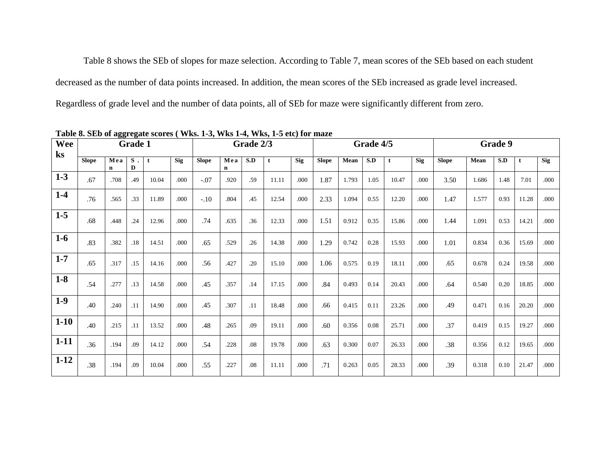Table 8 shows the SEb of slopes for maze selection. According to Table 7, mean scores of the SEb based on each student decreased as the number of data points increased. In addition, the mean scores of the SEb increased as grade level increased. Regardless of grade level and the number of data points, all of SEb for maze were significantly different from zero.

| Wee<br>ks |              |                    | <b>Grade 1</b> |       |            |              |                    | Grade 2/3 |       |            |              |       | Grade 4/5 |       |            |              |       | Grade 9 |       |            |
|-----------|--------------|--------------------|----------------|-------|------------|--------------|--------------------|-----------|-------|------------|--------------|-------|-----------|-------|------------|--------------|-------|---------|-------|------------|
|           | <b>Slope</b> | Mea<br>$\mathbf n$ | $S$ .<br>D     | t     | <b>Sig</b> | <b>Slope</b> | Mea<br>$\mathbf n$ | S.D       | t     | <b>Sig</b> | <b>Slope</b> | Mean  | S.D       | t     | <b>Sig</b> | <b>Slope</b> | Mean  | S.D     |       | <b>Sig</b> |
| $1 - 3$   | .67          | .708               | .49            | 10.04 | .000       | $-.07$       | .920               | .59       | 11.11 | .000       | 1.87         | 1.793 | 1.05      | 10.47 | .000       | 3.50         | 1.686 | 1.48    | 7.01  | .000       |
| $1-4$     | .76          | .565               | .33            | 11.89 | .000       | $-.10$       | .804               | .45       | 12.54 | .000       | 2.33         | 1.094 | 0.55      | 12.20 | .000       | 1.47         | 1.577 | 0.93    | 11.28 | .000       |
| $1-5$     | .68          | .448               | .24            | 12.96 | .000       | .74          | .635               | .36       | 12.33 | .000       | 1.51         | 0.912 | 0.35      | 15.86 | .000       | 1.44         | 1.091 | 0.53    | 14.21 | .000       |
| $1-6$     | .83          | .382               | .18            | 14.51 | .000       | .65          | .529               | .26       | 14.38 | .000       | 1.29         | 0.742 | 0.28      | 15.93 | .000       | 1.01         | 0.834 | 0.36    | 15.69 | .000       |
| $1 - 7$   | .65          | .317               | .15            | 14.16 | .000       | .56          | .427               | .20       | 15.10 | .000       | 1.06         | 0.575 | 0.19      | 18.11 | .000       | .65          | 0.678 | 0.24    | 19.58 | .000       |
| $1-8$     | .54          | .277               | .13            | 14.58 | .000       | .45          | .357               | .14       | 17.15 | .000       | .84          | 0.493 | 0.14      | 20.43 | .000       | .64          | 0.540 | 0.20    | 18.85 | .000       |
| $1-9$     | .40          | .240               | .11            | 14.90 | .000       | .45          | .307               | .11       | 18.48 | .000       | .66          | 0.415 | 0.11      | 23.26 | .000       | .49          | 0.471 | 0.16    | 20.20 | .000       |
| $1-10$    | .40          | .215               | .11            | 13.52 | .000       | .48          | .265               | .09       | 19.11 | .000       | .60          | 0.356 | 0.08      | 25.71 | .000       | .37          | 0.419 | 0.15    | 19.27 | .000       |
| $1 - 11$  | .36          | .194               | .09            | 14.12 | .000       | .54          | .228               | .08       | 19.78 | .000       | .63          | 0.300 | 0.07      | 26.33 | .000       | .38          | 0.356 | 0.12    | 19.65 | .000       |
| $1 - 12$  | .38          | .194               | .09            | 10.04 | .000       | .55          | .227               | .08       | 11.11 | .000       | .71          | 0.263 | 0.05      | 28.33 | .000       | .39          | 0.318 | 0.10    | 21.47 | .000       |

**Table 8. SEb of aggregate scores ( Wks. 1-3, Wks 1-4, Wks, 1-5 etc) for maze**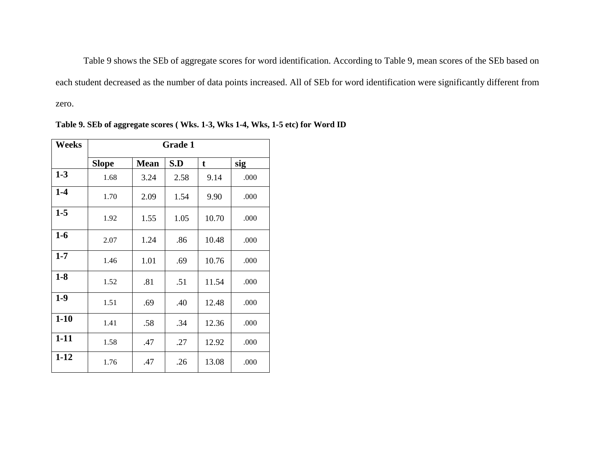Table 9 shows the SEb of aggregate scores for word identification. According to Table 9, mean scores of the SEb based on each student decreased as the number of data points increased. All of SEb for word identification were significantly different from zero.

| <b>Weeks</b> |              |             | <b>Grade 1</b> |       |      |
|--------------|--------------|-------------|----------------|-------|------|
|              | <b>Slope</b> | <b>Mean</b> | S.D            | t     | sig  |
| $1-3$        | 1.68         | 3.24        | 2.58           | 9.14  | .000 |
| $1-4$        | 1.70         | 2.09        | 1.54           | 9.90  | .000 |
| $1-5$        | 1.92         | 1.55        | 1.05           | 10.70 | .000 |
| $1-6$        | 2.07         | 1.24        | .86            | 10.48 | .000 |
| $1 - 7$      | 1.46         | 1.01        | .69            | 10.76 | .000 |
| $1-8$        | 1.52         | .81         | .51            | 11.54 | .000 |
| $1-9$        | 1.51         | .69         | .40            | 12.48 | .000 |
| $1 - 10$     | 1.41         | .58         | .34            | 12.36 | .000 |
| $1 - 11$     | 1.58         | .47         | .27            | 12.92 | .000 |
| $1 - 12$     | 1.76         | .47         | .26            | 13.08 | .000 |

**Table 9. SEb of aggregate scores ( Wks. 1-3, Wks 1-4, Wks, 1-5 etc) for Word ID**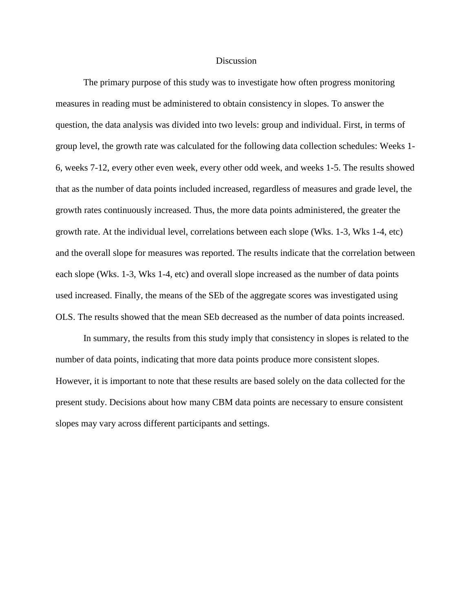#### Discussion

The primary purpose of this study was to investigate how often progress monitoring measures in reading must be administered to obtain consistency in slopes. To answer the question, the data analysis was divided into two levels: group and individual. First, in terms of group level, the growth rate was calculated for the following data collection schedules: Weeks 1- 6, weeks 7-12, every other even week, every other odd week, and weeks 1-5. The results showed that as the number of data points included increased, regardless of measures and grade level, the growth rates continuously increased. Thus, the more data points administered, the greater the growth rate. At the individual level, correlations between each slope (Wks. 1-3, Wks 1-4, etc) and the overall slope for measures was reported. The results indicate that the correlation between each slope (Wks. 1-3, Wks 1-4, etc) and overall slope increased as the number of data points used increased. Finally, the means of the SEb of the aggregate scores was investigated using OLS. The results showed that the mean SEb decreased as the number of data points increased.

In summary, the results from this study imply that consistency in slopes is related to the number of data points, indicating that more data points produce more consistent slopes. However, it is important to note that these results are based solely on the data collected for the present study. Decisions about how many CBM data points are necessary to ensure consistent slopes may vary across different participants and settings.